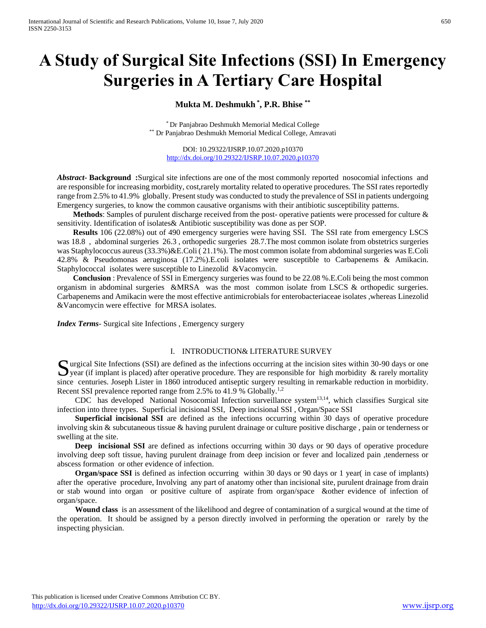# **A Study of Surgical Site Infections (SSI) In Emergency Surgeries in A Tertiary Care Hospital**

# **Mukta M. Deshmukh \* , P.R. Bhise \*\***

\* Dr Panjabrao Deshmukh Memorial Medical College \*\* Dr Panjabrao Deshmukh Memorial Medical College, Amravati

DOI: 10.29322/IJSRP.10.07.2020.p10370 <http://dx.doi.org/10.29322/IJSRP.10.07.2020.p10370>

*Abstract***- Background :**Surgical site infections are one of the most commonly reported nosocomial infections and are responsible for increasing morbidity, cost,rarely mortality related to operative procedures. The SSI rates reportedly range from 2.5% to 41.9% globally. Present study was conducted to study the prevalence of SSI in patients undergoing Emergency surgeries, to know the common causative organisms with their antibiotic susceptibility patterns.

 **Methods**: Samples of purulent discharge received from the post- operative patients were processed for culture & sensitivity. Identification of isolates& Antibiotic susceptibility was done as per SOP.

 **Results** 106 (22.08%) out of 490 emergency surgeries were having SSI. The SSI rate from emergency LSCS was 18.8, abdominal surgeries 26.3, orthopedic surgeries 28.7. The most common isolate from obstetrics surgeries was Staphylococcus aureus (33.3%)&E.Coli ( 21.1%). The most common isolate from abdominal surgeries was E.Coli 42.8% & Pseudomonas aeruginosa (17.2%).E.coli isolates were susceptible to Carbapenems & Amikacin. Staphylococcal isolates were susceptible to Linezolid &Vacomycin.

 **Conclusion** : Prevalence of SSI in Emergency surgeries was found to be 22.08 %.E.Coli being the most common organism in abdominal surgeries &MRSA was the most common isolate from LSCS & orthopedic surgeries. Carbapenems and Amikacin were the most effective antimicrobials for enterobacteriaceae isolates ,whereas Linezolid &Vancomycin were effective for MRSA isolates.

*Index Terms*- Surgical site Infections , Emergency surgery

#### I. INTRODUCTION& LITERATURE SURVEY

urgical Site Infections (SSI) are defined as the infections occurring at the incision sites within 30-90 days or one Surgical Site Infections (SSI) are defined as the infections occurring at the incision sites within 30-90 days or one year (if implant is placed) after operative procedure. They are responsible for high morbidity & rarely since centuries. Joseph Lister in 1860 introduced antiseptic surgery resulting in remarkable reduction in morbidity. Recent SSI prevalence reported range from 2.5% to 41.9 % Globally.<sup>1,2</sup>

 CDC has developed National Nosocomial Infection surveillance system13,14, which classifies Surgical site infection into three types. Superficial incisional SSI, Deep incisional SSI , Organ/Space SSI

 **Superficial incisional SSI** are defined as the infections occurring within 30 days of operative procedure involving skin & subcutaneous tissue & having purulent drainage or culture positive discharge , pain or tenderness or swelling at the site.

**Deep incisional SSI** are defined as infections occurring within 30 days or 90 days of operative procedure involving deep soft tissue, having purulent drainage from deep incision or fever and localized pain ,tenderness or abscess formation or other evidence of infection.

**Organ/space SSI** is defined as infection occurring within 30 days or 90 days or 1 year( in case of implants) after the operative procedure, Involving any part of anatomy other than incisional site, purulent drainage from drain or stab wound into organ or positive culture of aspirate from organ/space &other evidence of infection of organ/space.

 **Wound class** is an assessment of the likelihood and degree of contamination of a surgical wound at the time of the operation. It should be assigned by a person directly involved in performing the operation or rarely by the inspecting physician.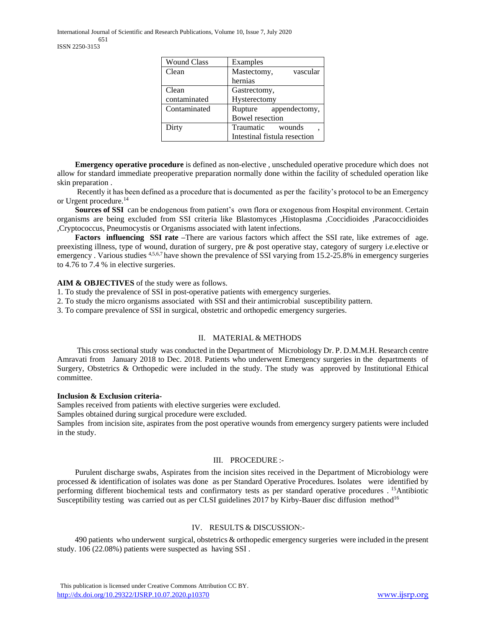International Journal of Scientific and Research Publications, Volume 10, Issue 7, July 2020 651 ISSN 2250-3153

| <b>Wound Class</b> | Examples                     |  |  |
|--------------------|------------------------------|--|--|
| Clean              | Mastectomy,<br>vascular      |  |  |
|                    | hernias                      |  |  |
| Clean              | Gastrectomy,                 |  |  |
| contaminated       | Hysterectomy                 |  |  |
| Contaminated       | appendectomy,<br>Rupture     |  |  |
|                    | <b>Bowel resection</b>       |  |  |
| Dirty              | Traumatic<br>wounds          |  |  |
|                    | Intestinal fistula resection |  |  |

 **Emergency operative procedure** is defined as non-elective , unscheduled operative procedure which does not allow for standard immediate preoperative preparation normally done within the facility of scheduled operation like skin preparation .

 Recently it has been defined as a procedure that is documented as per the facility's protocol to be an Emergency or Urgent procedure.<sup>14</sup>

 **Sources of SSI** can be endogenous from patient's own flora or exogenous from Hospital environment. Certain organisms are being excluded from SSI criteria like Blastomyces ,Histoplasma ,Coccidioides ,Paracoccidioides ,Cryptococcus, Pneumocystis or Organisms associated with latent infections.

 **Factors influencing SSI rate –**There are various factors which affect the SSI rate, like extremes of age. preexisting illness, type of wound, duration of surgery, pre & post operative stay, category of surgery i.e.elective or emergency . Various studies  $4,5,6,7$  have shown the prevalence of SSI varying from 15.2-25.8% in emergency surgeries to 4.76 to 7.4 % in elective surgeries.

## **AIM & OBJECTIVES** of the study were as follows.

- 1. To study the prevalence of SSI in post-operative patients with emergency surgeries.
- 2. To study the micro organisms associated with SSI and their antimicrobial susceptibility pattern.
- 3. To compare prevalence of SSI in surgical, obstetric and orthopedic emergency surgeries.

# II. MATERIAL & METHODS

 This cross sectional study was conducted in the Department of Microbiology Dr. P. D.M.M.H. Research centre Amravati from January 2018 to Dec. 2018. Patients who underwent Emergency surgeries in the departments of Surgery, Obstetrics & Orthopedic were included in the study. The study was approved by Institutional Ethical committee.

#### **Inclusion & Exclusion criteria-**

Samples received from patients with elective surgeries were excluded.

Samples obtained during surgical procedure were excluded.

Samples from incision site, aspirates from the post operative wounds from emergency surgery patients were included in the study.

# III. PROCEDURE :-

 Purulent discharge swabs, Aspirates from the incision sites received in the Department of Microbiology were processed & identification of isolates was done as per Standard Operative Procedures. Isolates were identified by performing different biochemical tests and confirmatory tests as per standard operative procedures . <sup>15</sup>Antibiotic Susceptibility testing was carried out as per CLSI guidelines 2017 by Kirby-Bauer disc diffusion method<sup>16</sup>

## IV. RESULTS & DISCUSSION:-

 490 patients who underwent surgical, obstetrics & orthopedic emergency surgeries were included in the present study. 106 (22.08%) patients were suspected as having SSI .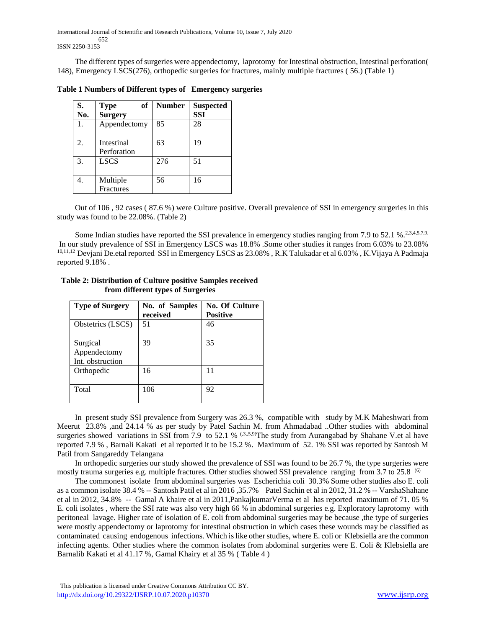International Journal of Scientific and Research Publications, Volume 10, Issue 7, July 2020 652 ISSN 2250-3153

 The different types of surgeries were appendectomy, laprotomy for Intestinal obstruction, Intestinal perforation( 148), Emergency LSCS(276), orthopedic surgeries for fractures, mainly multiple fractures ( 56.) (Table 1)

**Table 1 Numbers of Different types of Emergency surgeries**

| S.<br>No. | of<br><b>Type</b><br><b>Surgery</b> | <b>Number</b> | <b>Suspected</b><br><b>SSI</b> |
|-----------|-------------------------------------|---------------|--------------------------------|
| 1.        | Appendectomy                        | 85            | 28                             |
| 2.        | Intestinal<br>Perforation           | 63            | 19                             |
| 3.        | <b>LSCS</b>                         | 276           | 51                             |
|           | Multiple<br>Fractures               | 56            | 16                             |

 Out of 106 , 92 cases ( 87.6 %) were Culture positive. Overall prevalence of SSI in emergency surgeries in this study was found to be 22.08%. (Table 2)

Some Indian studies have reported the SSI prevalence in emergency studies ranging from 7.9 to 52.1 %.<sup>2,3,4,5,7,9.</sup> In our study prevalence of SSI in Emergency LSCS was 18.8% .Some other studies it ranges from 6.03% to 23.08% 10,11,12 Devjani De.etal reported SSI in Emergency LSCS as 23.08% , R.K Talukadar et al 6.03% , K.Vijaya A Padmaja reported 9.18% .

| <b>Type of Surgery</b>                       | No. of Samples<br>received | <b>No. Of Culture</b><br><b>Positive</b> |  |
|----------------------------------------------|----------------------------|------------------------------------------|--|
| Obstetrics (LSCS)                            | 51                         | 46                                       |  |
| Surgical<br>Appendectomy<br>Int. obstruction | 39                         | 35                                       |  |
| Orthopedic                                   | 16                         | 11                                       |  |
| Total                                        | 106                        | 92                                       |  |

## **Table 2: Distribution of Culture positive Samples received from different types of Surgeries**

 In present study SSI prevalence from Surgery was 26.3 %, compatible with study by M.K Maheshwari from Meerut 23.8% ,and 24.14 % as per study by Patel Sachin M. from Ahmadabad ..Other studies with abdominal surgeries showed variations in SSI from 7.9 to 52.1 % (3,5,9)The study from Aurangabad by Shahane V.et al have reported 7.9 % , Barnali Kakati et al reported it to be 15.2 %. Maximum of 52. 1% SSI was reported by Santosh M Patil from Sangareddy Telangana

 In orthopedic surgeries our study showed the prevalence of SSI was found to be 26.7 %, the type surgeries were mostly trauma surgeries e.g. multiple fractures. Other studies showed SSI prevalence ranging from 3.7 to 25.8 <sup>(6)</sup>

 The commonest isolate from abdominal surgeries was Escherichia coli 30.3% Some other studies also E. coli as a common isolate 38.4 % -- Santosh Patil et al in 2016 ,35.7% Patel Sachin et al in 2012, 31.2 % -- VarshaShahane et al in 2012, 34.8% -- Gamal A khaire et al in 2011,PankajkumarVerma et al has reported maximum of 71. 05 % E. coli isolates , where the SSI rate was also very high 66 % in abdominal surgeries e.g. Exploratory laprotomy with peritoneal lavage. Higher rate of isolation of E. coli from abdominal surgeries may be because ,the type of surgeries were mostly appendectomy or laprotomy for intestinal obstruction in which cases these wounds may be classified as contaminated causing endogenous infections. Which is like other studies, where E. coli or Klebsiella are the common infecting agents. Other studies where the common isolates from abdominal surgeries were E. Coli & Klebsiella are Barnalib Kakati et al 41.17 %, Gamal Khairy et al 35 % ( Table 4 )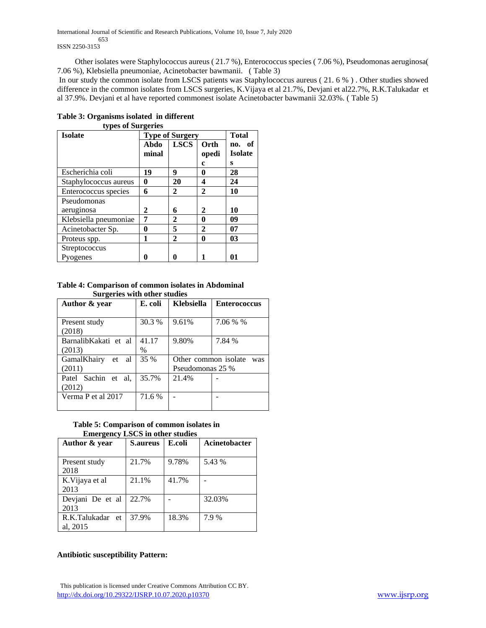International Journal of Scientific and Research Publications, Volume 10, Issue 7, July 2020 653 ISSN 2250-3153

 Other isolates were Staphylococcus aureus ( 21.7 %), Enterococcus species ( 7.06 %), Pseudomonas aeruginosa( 7.06 %), Klebsiella pneumoniae, Acinetobacter bawmanii. ( Table 3)

In our study the common isolate from LSCS patients was Staphylococcus aureus ( 21. 6 % ) . Other studies showed difference in the common isolates from LSCS surgeries, K.Vijaya et al 21.7%, Devjani et al22.7%, R.K.Talukadar et al 37.9%. Devjani et al have reported commonest isolate Acinetobacter bawmanii 32.03%. ( Table 5)

| types of purgeries<br><b>Isolate</b> |               | <b>Type of Surgery</b> |               |                          |
|--------------------------------------|---------------|------------------------|---------------|--------------------------|
|                                      | Abdo<br>minal | <b>LSCS</b>            | Orth<br>opedi | no. of<br><b>Isolate</b> |
| Escherichia coli                     | 19            | 9                      | c<br>0        | s<br>28                  |
| Staphylococcus aureus                | 0             | 20                     | 4             | 24                       |
| Enterococcus species                 | 6             | 2                      | $\mathbf{2}$  | 10                       |
| Pseudomonas                          |               |                        |               |                          |
| aeruginosa                           | 2             | 6                      | 2             | 10                       |
| Klebsiella pneumoniae                | 7             | 2                      | 0             | 09                       |
| Acinetobacter Sp.                    | 0             | 5                      | $\mathbf{2}$  | 07                       |
| Proteus spp.                         | 1             | $\mathbf{2}$           | 0             | 03                       |
| Streptococcus                        |               |                        |               |                          |
| Pyogenes                             | 0             | 0                      |               | 01                       |

#### **Table 3: Organisms isolated in different types of Surgeries**

**Table 4: Comparison of common isolates in Abdominal Surgeries with other studies**

| Author & year        | E. coli | <b>Klebsiella</b>    | <b>Enterococcus</b> |  |
|----------------------|---------|----------------------|---------------------|--|
|                      |         |                      |                     |  |
| Present study        | 30.3 %  | 9.61%                | 7.06 % %            |  |
| (2018)               |         |                      |                     |  |
| BarnalibKakati et al | 41.17   | 9.80%                | 7.84 %              |  |
| (2013)               | $\%$    |                      |                     |  |
| GamalKhairy<br>et al | 35 %    | Other common isolate | was                 |  |
| (2011)               |         | Pseudomonas 25 %     |                     |  |
| Patel Sachin et al.  | 35.7%   | 21.4%                |                     |  |
| (2012)               |         |                      |                     |  |
| Verma P et al 2017   | 71.6 %  |                      |                     |  |
|                      |         |                      |                     |  |

### **Table 5: Comparison of common isolates in Emergency LSCS in other studies**

| Author & year                | <b>S.aureus</b> | E.coli | <b>Acinetobacter</b> |
|------------------------------|-----------------|--------|----------------------|
| Present study<br>2018        | 21.7%           | 9.78%  | 5.43 %               |
| K. Vijaya et al<br>2013      | 21.1%           | 41.7%  |                      |
| Devjani De et al<br>2013     | 22.7%           |        | 32.03%               |
| R.K.Talukadar et<br>al, 2015 | 37.9%           | 18.3%  | 7.9 %                |

# **Antibiotic susceptibility Pattern:**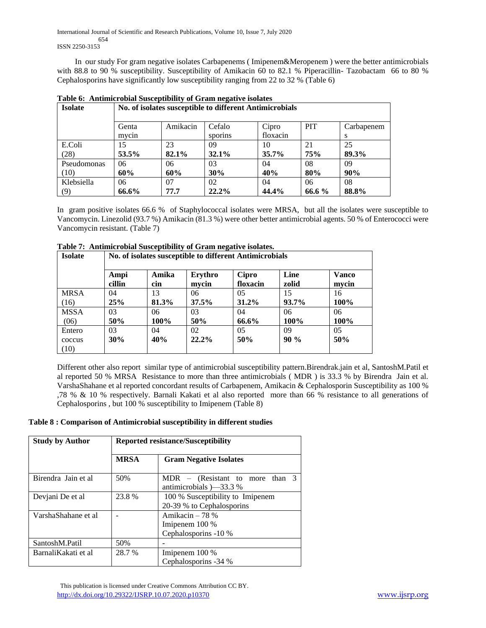International Journal of Scientific and Research Publications, Volume 10, Issue 7, July 2020 654 ISSN 2250-3153

 In our study For gram negative isolates Carbapenems ( Imipenem&Meropenem ) were the better antimicrobials with 88.8 to 90 % susceptibility. Susceptibility of Amikacin 60 to 82.1 % Piperacillin-Tazobactam 66 to 80 % Cephalosporins have significantly low susceptibility ranging from 22 to 32 % (Table 6)

|                | Table 0. Allumnet bolar Susceptibility of Grain negative isolates |          |         |          |            |            |
|----------------|-------------------------------------------------------------------|----------|---------|----------|------------|------------|
| <b>Isolate</b> | No. of isolates susceptible to different Antimicrobials           |          |         |          |            |            |
|                |                                                                   |          |         |          |            |            |
|                | Genta                                                             | Amikacin | Cefalo  | Cipro    | <b>PIT</b> | Carbapenem |
|                | mycin                                                             |          | sporins | floxacin |            | S          |
| E.Coli         | 15                                                                | 23       | 09      | 10       | 21         | 25         |
| (28)           | 53.5%                                                             | 82.1%    | 32.1%   | $35.7\%$ | <b>75%</b> | 89.3%      |
| Pseudomonas    | 06                                                                | 06       | 03      | 04       | 08         | 09         |
| (10)           | 60%                                                               | 60%      | 30%     | 40%      | 80%        | 90%        |
| Klebsiella     | 06                                                                | 07       | 02      | 04       | 06         | 08         |
| (9)            | 66.6%                                                             | 77.7     | 22.2%   | 44.4%    | 66.6 %     | 88.8%      |

**Table 6: Antimicrobial Susceptibility of Gram negative isolates**

In gram positive isolates 66.6 % of Staphylococcal isolates were MRSA, but all the isolates were susceptible to Vancomycin. Linezolid (93.7 %) Amikacin (81.3 %) were other better antimicrobial agents. 50 % of Enterococci were Vancomycin resistant. (Table 7)

| <b>Isolate</b> |                | No. of isolates susceptible to different Antimicrobials |                  |                   |               |                       |  |  |
|----------------|----------------|---------------------------------------------------------|------------------|-------------------|---------------|-----------------------|--|--|
|                | Ampi<br>cillin | Amika<br>cin                                            | Erythro<br>mvcin | Cipro<br>floxacin | Line<br>zolid | <b>Vanco</b><br>mvcin |  |  |
| <b>MRSA</b>    | 04             | 13                                                      | 06               | 05                | 15            | 16                    |  |  |
| (16)           | 25%            | 81.3%                                                   | 37.5%            | $31.2\%$          | $93.7\%$      | 100%                  |  |  |
| <b>MSSA</b>    | 03             | 06                                                      | 03               | 04                | 06            | 06                    |  |  |
| (06)           | 50%            | 100%                                                    | 50%              | 66.6%             | 100%          | 100%                  |  |  |
| Entero         | 03             | 04                                                      | 02               | 05                | 09            | 05                    |  |  |
| coccus         | 30%            | 40%                                                     | $22.2\%$         | 50%               | $90\%$        | 50%                   |  |  |
| (10)           |                |                                                         |                  |                   |               |                       |  |  |

**Table 7: Antimicrobial Susceptibility of Gram negative isolates.**

Different other also report similar type of antimicrobial susceptibility pattern.Birendrak.jain et al, SantoshM.Patil et al reported 50 % MRSA Resistance to more than three antimicrobials ( MDR ) is 33.3 % by Birendra Jain et al. VarshaShahane et al reported concordant results of Carbapenem, Amikacin & Cephalosporin Susceptibility as 100 % ,78 % & 10 % respectively. Barnali Kakati et al also reported more than 66 % resistance to all generations of Cephalosporins , but 100 % susceptibility to Imipenem (Table 8)

# **Table 8 : Comparison of Antimicrobial susceptibility in different studies**

| <b>Study by Author</b> | <b>Reported resistance/Susceptibility</b> |                                                                               |  |
|------------------------|-------------------------------------------|-------------------------------------------------------------------------------|--|
|                        | <b>MRSA</b>                               | <b>Gram Negative Isolates</b>                                                 |  |
| Birendra Jain et al    | 50%                                       | $MDR - (Resistant to more$<br>than $3$<br>antimicrobials $\rightarrow$ 33.3 % |  |
| Devjani De et al       | 23.8 %                                    | 100 % Susceptibility to Imipenem                                              |  |
|                        |                                           | 20-39 % to Cephalosporins                                                     |  |
| VarshaShahane et al    | -                                         | Amikacin $-78%$                                                               |  |
|                        |                                           | Imipenem 100 %                                                                |  |
|                        |                                           | Cephalosporins -10 %                                                          |  |
| SantoshM.Patil         | 50%                                       |                                                                               |  |
| BarnaliKakati et al    | 28.7 %                                    | Imipenem 100 %                                                                |  |
|                        |                                           | Cephalosporins -34 %                                                          |  |

 This publication is licensed under Creative Commons Attribution CC BY. <http://dx.doi.org/10.29322/IJSRP.10.07.2020.p10370> [www.ijsrp.org](http://ijsrp.org/)